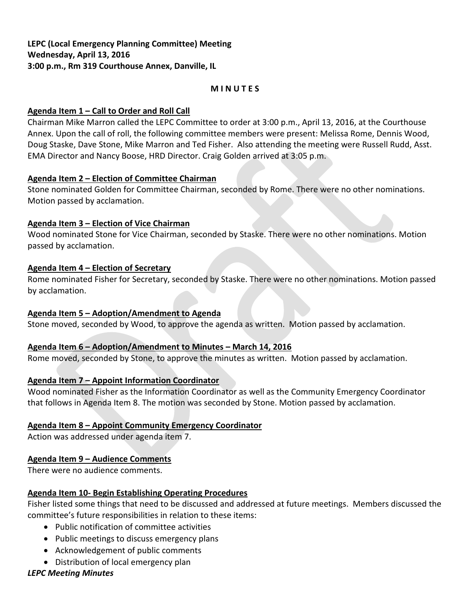# **M I N U T E S**

### **Agenda Item 1 – Call to Order and Roll Call**

Chairman Mike Marron called the LEPC Committee to order at 3:00 p.m., April 13, 2016, at the Courthouse Annex. Upon the call of roll, the following committee members were present: Melissa Rome, Dennis Wood, Doug Staske, Dave Stone, Mike Marron and Ted Fisher. Also attending the meeting were Russell Rudd, Asst. EMA Director and Nancy Boose, HRD Director. Craig Golden arrived at 3:05 p.m.

### **Agenda Item 2 – Election of Committee Chairman**

Stone nominated Golden for Committee Chairman, seconded by Rome. There were no other nominations. Motion passed by acclamation.

### **Agenda Item 3 – Election of Vice Chairman**

Wood nominated Stone for Vice Chairman, seconded by Staske. There were no other nominations. Motion passed by acclamation.

### **Agenda Item 4 – Election of Secretary**

Rome nominated Fisher for Secretary, seconded by Staske. There were no other nominations. Motion passed by acclamation.

# **Agenda Item 5 – Adoption/Amendment to Agenda**

Stone moved, seconded by Wood, to approve the agenda as written. Motion passed by acclamation.

# **Agenda Item 6 – Adoption/Amendment to Minutes – March 14, 2016**

Rome moved, seconded by Stone, to approve the minutes as written. Motion passed by acclamation.

# **Agenda Item 7 – Appoint Information Coordinator**

Wood nominated Fisher as the Information Coordinator as well as the Community Emergency Coordinator that follows in Agenda Item 8. The motion was seconded by Stone. Motion passed by acclamation.

# **Agenda Item 8 – Appoint Community Emergency Coordinator**

Action was addressed under agenda item 7.

# **Agenda Item 9 – Audience Comments**

There were no audience comments.

#### **Agenda Item 10- Begin Establishing Operating Procedures**

Fisher listed some things that need to be discussed and addressed at future meetings. Members discussed the committee's future responsibilities in relation to these items:

- Public notification of committee activities
- Public meetings to discuss emergency plans
- Acknowledgement of public comments
- Distribution of local emergency plan

# *LEPC Meeting Minutes*